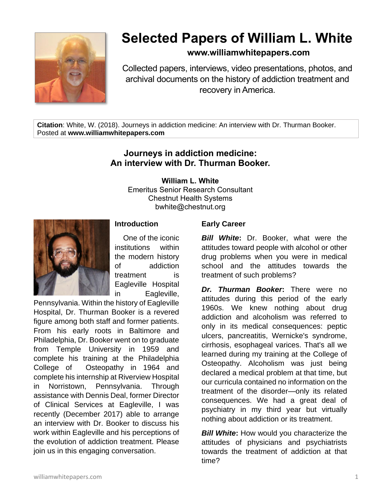

# **Selected Papers of William L. White**

## **www.williamwhitepapers.com**

Collected papers, interviews, video presentations, photos, and archival documents on the history of addiction treatment and recovery in America.

**Citation**: White, W. (2018). Journeys in addiction medicine: An interview with Dr. Thurman Booker. Posted at **www.williamwhitepapers.com**

# **Journeys in addiction medicine: An interview with Dr. Thurman Booker.**

**William L. White**

Emeritus Senior Research Consultant Chestnut Health Systems bwhite@chestnut.org



#### **Introduction**

One of the iconic institutions within the modern history of addiction treatment is Eagleville Hospital in Eagleville,

Pennsylvania. Within the history of Eagleville Hospital, Dr. Thurman Booker is a revered figure among both staff and former patients. From his early roots in Baltimore and Philadelphia, Dr. Booker went on to graduate from Temple University in 1959 and complete his training at the Philadelphia College of Osteopathy in 1964 and complete his internship at Riverview Hospital in Norristown, Pennsylvania. Through assistance with Dennis Deal, former Director of Clinical Services at Eagleville, I was recently (December 2017) able to arrange an interview with Dr. Booker to discuss his work within Eagleville and his perceptions of the evolution of addiction treatment. Please join us in this engaging conversation.

#### **Early Career**

*Bill White***:** Dr. Booker, what were the attitudes toward people with alcohol or other drug problems when you were in medical school and the attitudes towards the treatment of such problems?

*Dr. Thurman Booker***:** There were no attitudes during this period of the early 1960s. We knew nothing about drug addiction and alcoholism was referred to only in its medical consequences: peptic ulcers, pancreatitis, Wernicke's syndrome, cirrhosis, esophageal varices. That's all we learned during my training at the College of Osteopathy. Alcoholism was just being declared a medical problem at that time, but our curricula contained no information on the treatment of the disorder—only its related consequences. We had a great deal of psychiatry in my third year but virtually nothing about addiction or its treatment.

*Bill White***:** How would you characterize the attitudes of physicians and psychiatrists towards the treatment of addiction at that time?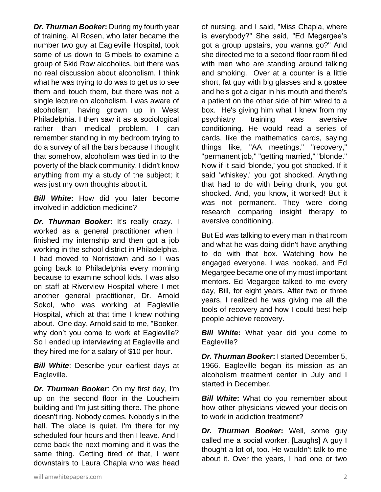*Dr. Thurman Booker***:** During my fourth year of training, Al Rosen, who later became the number two guy at Eagleville Hospital, took some of us down to Gimbels to examine a group of Skid Row alcoholics, but there was no real discussion about alcoholism. I think what he was trying to do was to get us to see them and touch them, but there was not a single lecture on alcoholism. I was aware of alcoholism, having grown up in West Philadelphia. I then saw it as a sociological rather than medical problem. I can remember standing in my bedroom trying to do a survey of all the bars because I thought that somehow, alcoholism was tied in to the poverty of the black community. I didn't know anything from my a study of the subject; it was just my own thoughts about it.

*Bill White***:** How did you later become involved in addiction medicine?

*Dr. Thurman Booker***:** It's really crazy. I worked as a general practitioner when I finished my internship and then got a job working in the school district in Philadelphia. I had moved to Norristown and so I was going back to Philadelphia every morning because to examine school kids. I was also on staff at Riverview Hospital where I met another general practitioner, Dr. Arnold Sokol, who was working at Eagleville Hospital, which at that time I knew nothing about. One day, Arnold said to me, "Booker, why don't you come to work at Eagleville? So I ended up interviewing at Eagleville and they hired me for a salary of \$10 per hour.

**Bill White:** Describe your earliest days at Eagleville.

*Dr. Thurman Booker*: On my first day, I'm up on the second floor in the Loucheim building and I'm just sitting there. The phone doesn't ring. Nobody comes. Nobody's in the hall. The place is quiet. I'm there for my scheduled four hours and then I leave. And I ccme back the next morning and it was the same thing. Getting tired of that, I went downstairs to Laura Chapla who was head

of nursing, and I said, "Miss Chapla, where is everybody?" She said, "Ed Megargee's got a group upstairs, you wanna go?" And she directed me to a second floor room filled with men who are standing around talking and smoking. Over at a counter is a little short, fat guy with big glasses and a goatee and he's got a cigar in his mouth and there's a patient on the other side of him wired to a box. He's giving him what I knew from my psychiatry training was aversive conditioning. He would read a series of cards, like the mathematics cards, saying things like, "AA meetings," "recovery," "permanent job," "getting married," "blonde." Now if it said 'blonde,' you got shocked. If it said 'whiskey,' you got shocked. Anything that had to do with being drunk, you got shocked. And, you know, it worked! But it was not permanent. They were doing research comparing insight therapy to aversive conditioning.

But Ed was talking to every man in that room and what he was doing didn't have anything to do with that box. Watching how he engaged everyone, I was hooked, and Ed Megargee became one of my most important mentors. Ed Megargee talked to me every day, Bill, for eight years. After two or three years, I realized he was giving me all the tools of recovery and how I could best help people achieve recovery.

*Bill White***:** What year did you come to Eagleville?

*Dr. Thurman Booker***:** I started December 5, 1966. Eagleville began its mission as an alcoholism treatment center in July and I started in December.

*Bill White:* What do you remember about how other physicians viewed your decision to work in addiction treatment?

*Dr. Thurman Booker***:** Well, some guy called me a social worker. [Laughs] A guy I thought a lot of, too. He wouldn't talk to me about it. Over the years, I had one or two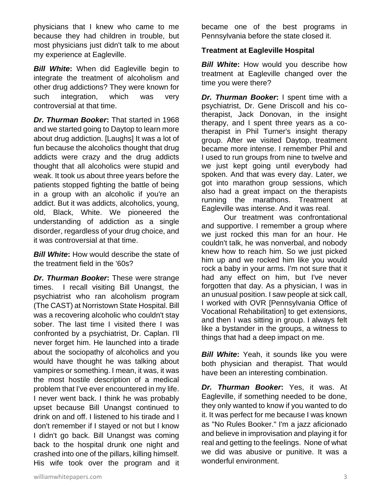physicians that I knew who came to me because they had children in trouble, but most physicians just didn't talk to me about my experience at Eagleville.

*Bill White***:** When did Eagleville begin to integrate the treatment of alcoholism and other drug addictions? They were known for such integration, which was very controversial at that time.

*Dr. Thurman Booker***:** That started in 1968 and we started going to Daytop to learn more about drug addiction. [Laughs] It was a lot of fun because the alcoholics thought that drug addicts were crazy and the drug addicts thought that all alcoholics were stupid and weak. It took us about three years before the patients stopped fighting the battle of being in a group with an alcoholic if you're an addict. But it was addicts, alcoholics, young, old, Black, White. We pioneered the understanding of addiction as a single disorder, regardless of your drug choice, and it was controversial at that time.

*Bill White***:** How would describe the state of the treatment field in the '60s?

*Dr. Thurman Booker***:** These were strange times. I recall visiting Bill Unangst, the psychiatrist who ran alcoholism program (The CAST) at Norristown State Hospital. Bill was a recovering alcoholic who couldn't stay sober. The last time I visited there I was confronted by a psychiatrist, Dr. Caplan. I'll never forget him. He launched into a tirade about the sociopathy of alcoholics and you would have thought he was talking about vampires or something. I mean, it was, it was the most hostile description of a medical problem that I've ever encountered in my life. I never went back. I think he was probably upset because Bill Unangst continued to drink on and off. I listened to his tirade and I don't remember if I stayed or not but I know I didn't go back. Bill Unangst was coming back to the hospital drunk one night and crashed into one of the pillars, killing himself. His wife took over the program and it

became one of the best programs in Pennsylvania before the state closed it.

#### **Treatment at Eagleville Hospital**

*Bill White:* How would you describe how treatment at Eagleville changed over the time you were there?

*Dr. Thurman Booker***:** I spent time with a psychiatrist, Dr. Gene Driscoll and his cotherapist, Jack Donovan, in the insight therapy, and I spent three years as a cotherapist in Phil Turner's insight therapy group. After we visited Daytop, treatment became more intense. I remember Phil and I used to run groups from nine to twelve and we just kept going until everybody had spoken. And that was every day. Later, we got into marathon group sessions, which also had a great impact on the therapists running the marathons. Treatment at Eagleville was intense. And it was real.

Our treatment was confrontational and supportive. I remember a group where we just rocked this man for an hour. He couldn't talk, he was nonverbal, and nobody knew how to reach him. So we just picked him up and we rocked him like you would rock a baby in your arms. I'm not sure that it had any effect on him, but I've never forgotten that day. As a physician, I was in an unusual position. I saw people at sick call, I worked with OVR [Pennsylvania Office of Vocational Rehabilitation] to get extensions, and then I was sitting in group. I always felt like a bystander in the groups, a witness to things that had a deep impact on me.

*Bill White***:** Yeah, it sounds like you were both physician and therapist. That would have been an interesting combination.

*Dr. Thurman Booker***:** Yes, it was. At Eagleville, if something needed to be done, they only wanted to know if you wanted to do it. It was perfect for me because I was known as "No Rules Booker." I'm a jazz aficionado and believe in improvisation and playing it for real and getting to the feelings. None of what we did was abusive or punitive. It was a wonderful environment.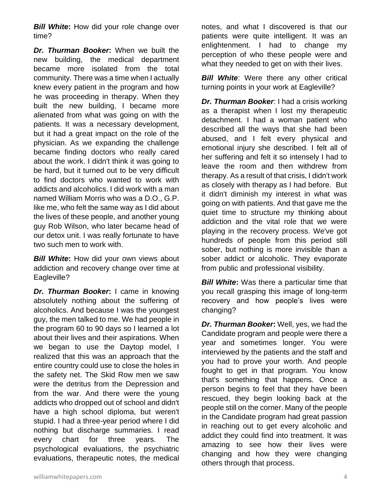*Bill White***:** How did your role change over time?

*Dr. Thurman Booker***:** When we built the new building, the medical department became more isolated from the total community. There was a time when I actually knew every patient in the program and how he was proceeding in therapy. When they built the new building, I became more alienated from what was going on with the patients. It was a necessary development, but it had a great impact on the role of the physician. As we expanding the challenge became finding doctors who really cared about the work. I didn't think it was going to be hard, but it turned out to be very difficult to find doctors who wanted to work with addicts and alcoholics. I did work with a man named William Morris who was a D.O., G.P. like me, who felt the same way as I did about the lives of these people, and another young guy Rob Wilson, who later became head of our detox unit. I was really fortunate to have two such men to work with.

*Bill White***:** How did your own views about addiction and recovery change over time at Eagleville?

*Dr. Thurman Booker***:** I came in knowing absolutely nothing about the suffering of alcoholics. And because I was the youngest guy, the men talked to me. We had people in the program 60 to 90 days so I learned a lot about their lives and their aspirations. When we began to use the Daytop model, I realized that this was an approach that the entire country could use to close the holes in the safety net. The Skid Row men we saw were the detritus from the Depression and from the war. And there were the young addicts who dropped out of school and didn't have a high school diploma, but weren't stupid. I had a three-year period where I did nothing but discharge summaries. I read every chart for three years. The psychological evaluations, the psychiatric evaluations, therapeutic notes, the medical

notes, and what I discovered is that our patients were quite intelligent. It was an enlightenment. I had to change my perception of who these people were and what they needed to get on with their lives.

*Bill White*: Were there any other critical turning points in your work at Eagleville?

*Dr. Thurman Booker*: I had a crisis working as a therapist when I lost my therapeutic detachment. I had a woman patient who described all the ways that she had been abused, and I felt every physical and emotional injury she described. I felt all of her suffering and felt it so intensely I had to leave the room and then withdrew from therapy. As a result of that crisis, I didn't work as closely with therapy as I had before. But it didn't diminish my interest in what was going on with patients. And that gave me the quiet time to structure my thinking about addiction and the vital role that we were playing in the recovery process. We've got hundreds of people from this period still sober, but nothing is more invisible than a sober addict or alcoholic. They evaporate from public and professional visibility.

*Bill White***:** Was there a particular time that you recall grasping this image of long-term recovery and how people's lives were changing?

*Dr. Thurman Booker***:** Well, yes, we had the Candidate program and people were there a year and sometimes longer. You were interviewed by the patients and the staff and you had to prove your worth. And people fought to get in that program. You know that's something that happens. Once a person begins to feel that they have been rescued, they begin looking back at the people still on the corner. Many of the people in the Candidate program had great passion in reaching out to get every alcoholic and addict they could find into treatment. It was amazing to see how their lives were changing and how they were changing others through that process.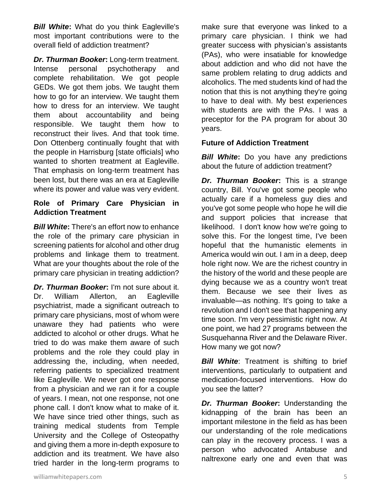*Bill White***:** What do you think Eagleville's most important contributions were to the overall field of addiction treatment?

*Dr. Thurman Booker***:** Long-term treatment. Intense personal psychotherapy and complete rehabilitation. We got people GEDs. We got them jobs. We taught them how to go for an interview. We taught them how to dress for an interview. We taught them about accountability and being responsible. We taught them how to reconstruct their lives. And that took time. Don Ottenberg continually fought that with the people in Harrisburg [state officials] who wanted to shorten treatment at Eagleville. That emphasis on long-term treatment has been lost, but there was an era at Eagleville where its power and value was very evident.

### **Role of Primary Care Physician in Addiction Treatment**

*Bill White***:** There's an effort now to enhance the role of the primary care physician in screening patients for alcohol and other drug problems and linkage them to treatment. What are your thoughts about the role of the primary care physician in treating addiction?

*Dr. Thurman Booker***:** I'm not sure about it. Dr. William Allerton, an Eagleville psychiatrist, made a significant outreach to primary care physicians, most of whom were unaware they had patients who were addicted to alcohol or other drugs. What he tried to do was make them aware of such problems and the role they could play in addressing the, including, when needed, referring patients to specialized treatment like Eagleville. We never got one response from a physician and we ran it for a couple of years. I mean, not one response, not one phone call. I don't know what to make of it. We have since tried other things, such as training medical students from Temple University and the College of Osteopathy and giving them a more in-depth exposure to addiction and its treatment. We have also tried harder in the long-term programs to

make sure that everyone was linked to a primary care physician. I think we had greater success with physician's assistants (PAs), who were insatiable for knowledge about addiction and who did not have the same problem relating to drug addicts and alcoholics. The med students kind of had the notion that this is not anything they're going to have to deal with. My best experiences with students are with the PAs. I was a preceptor for the PA program for about 30 years.

#### **Future of Addiction Treatment**

*Bill White*: Do you have any predictions about the future of addiction treatment?

*Dr. Thurman Booker***:** This is a strange country, Bill. You've got some people who actually care if a homeless guy dies and you've got some people who hope he will die and support policies that increase that likelihood. I don't know how we're going to solve this. For the longest time, I've been hopeful that the humanistic elements in America would win out. I am in a deep, deep hole right now. We are the richest country in the history of the world and these people are dying because we as a country won't treat them. Because we see their lives as invaluable—as nothing. It's going to take a revolution and I don't see that happening any time soon. I'm very pessimistic right now. At one point, we had 27 programs between the Susquehanna River and the Delaware River. How many we got now?

*Bill White*: Treatment is shifting to brief interventions, particularly to outpatient and medication-focused interventions. How do you see the latter?

*Dr. Thurman Booker***:** Understanding the kidnapping of the brain has been an important milestone in the field as has been our understanding of the role medications can play in the recovery process. I was a person who advocated Antabuse and naltrexone early one and even that was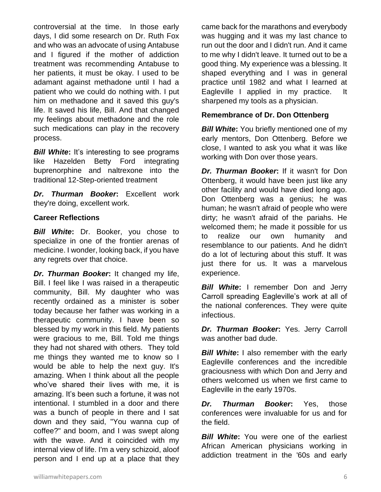controversial at the time. In those early days, I did some research on Dr. Ruth Fox and who was an advocate of using Antabuse and I figured if the mother of addiction treatment was recommending Antabuse to her patients, it must be okay. I used to be adamant against methadone until I had a patient who we could do nothing with. I put him on methadone and it saved this guy's life. It saved his life, Bill. And that changed my feelings about methadone and the role such medications can play in the recovery process.

*Bill White:* It's interesting to see programs like Hazelden Betty Ford integrating buprenorphine and naltrexone into the traditional 12-Step-oriented treatment

*Dr. Thurman Booker***:** Excellent work they're doing, excellent work.

#### **Career Reflections**

*Bill White***:** Dr. Booker, you chose to specialize in one of the frontier arenas of medicine. I wonder, looking back, if you have any regrets over that choice.

*Dr. Thurman Booker***:** It changed my life, Bill. I feel like I was raised in a therapeutic community, Bill. My daughter who was recently ordained as a minister is sober today because her father was working in a therapeutic community. I have been so blessed by my work in this field. My patients were gracious to me, Bill. Told me things they had not shared with others. They told me things they wanted me to know so I would be able to help the next guy. It's amazing. When I think about all the people who've shared their lives with me, it is amazing. It's been such a fortune, it was not intentional. I stumbled in a door and there was a bunch of people in there and I sat down and they said, "You wanna cup of coffee?" and boom, and I was swept along with the wave. And it coincided with my internal view of life. I'm a very schizoid, aloof person and I end up at a place that they

came back for the marathons and everybody was hugging and it was my last chance to run out the door and I didn't run. And it came to me why I didn't leave. It turned out to be a good thing. My experience was a blessing. It shaped everything and I was in general practice until 1982 and what I learned at Eagleville I applied in my practice. It sharpened my tools as a physician.

#### **Remembrance of Dr. Don Ottenberg**

*Bill White:* You briefly mentioned one of my early mentors, Don Ottenberg. Before we close, I wanted to ask you what it was like working with Don over those years.

*Dr. Thurman Booker***:** If it wasn't for Don Ottenberg, it would have been just like any other facility and would have died long ago. Don Ottenberg was a genius; he was human; he wasn't afraid of people who were dirty; he wasn't afraid of the pariahs. He welcomed them; he made it possible for us to realize our own humanity and resemblance to our patients. And he didn't do a lot of lecturing about this stuff. It was just there for us. It was a marvelous experience.

*Bill White***:** I remember Don and Jerry Carroll spreading Eagleville's work at all of the national conferences. They were quite infectious.

*Dr. Thurman Booker***:** Yes. Jerry Carroll was another bad dude.

*Bill White***:** I also remember with the early Eagleville conferences and the incredible graciousness with which Don and Jerry and others welcomed us when we first came to Eagleville in the early 1970s.

*Dr. Thurman Booker***:** Yes, those conferences were invaluable for us and for the field.

*Bill White:* You were one of the earliest African American physicians working in addiction treatment in the '60s and early